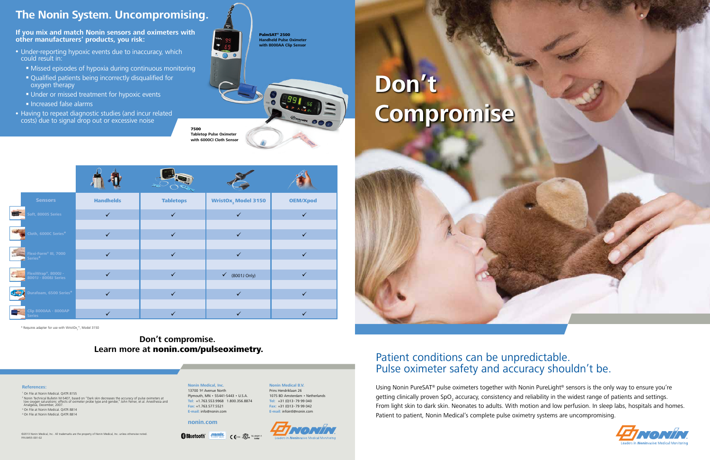# **Don't Compromise**

## Patient conditions can be unpredictable. Pulse oximeter safety and accuracy shouldn't be.

Using Nonin PureSAT<sup>®</sup> pulse oximeters together with Nonin PureLight<sup>®</sup> sensors is the only way to ensure you're getting clinically proven SpO<sub>2</sub> accuracy, consistency and reliability in the widest range of patients and settings. From light skin to dark skin. Neonates to adults. With motion and low perfusion. In sleep labs, hospitals and homes. Patient to patient, Nonin Medical's complete pulse oximetry systems are uncompromising.





©2013 Nonin Medical, Inc. All trademarks are the property of Nonin Medical, Inc. unless otherwise noted. P/N 8455-001-02

- Under-reporting hypoxic events due to inaccuracy, which could result in:
	- Missed episodes of hypoxia during continuous monitoring
	- Qualified patients being incorrectly disqualified for oxygen therapy
	- Under or missed treatment for hypoxic events
	- $\blacksquare$  Increased false alarms
- Having to repeat diagnostic studies (and incur related costs) due to signal drop out or excessive noise



## **Don't compromise. Learn more at** nonin.com/pulseoximetry.

## **The Nonin System. Uncompromising.**

**If you mix and match Nonin sensors and oximeters with other manufacturers' products, you risk:**

### **References:**

 On File at Nonin Medical. QATR 8155 <sup>2</sup> Nonin Technical Bulletin M-5407, based on "Dark skin decreases the accuracy of pulse oximeters at<br>low oxygen saturations: effects of oximeter probe type and gender," John Feiner, et al. Anesthesia and<br>Analgesia, Decemb On File at Nonin Medical. QATR 8814 On File at Nonin Medical. QATR 8814

PalmSAT® 2500 **Handheld Pulse Oximeter with 8000AA Clip Sensor**



| <b>Sensors</b>                               | <b>Handhelds</b> | <b>Tabletops</b> | <b>WristOx, Model 3150</b>   | <b>OEM/Xpod</b> |
|----------------------------------------------|------------------|------------------|------------------------------|-----------------|
| Soft, 8000S Series                           | $\checkmark$     | $\checkmark$     | $\checkmark$                 |                 |
| Cloth, 6000C Series*                         | $\checkmark$     | $\checkmark$     | $\checkmark$                 | $\checkmark$    |
| Flexi-Form® III, 7000                        | $\checkmark$     | $\checkmark$     | $\checkmark$                 | $\checkmark$    |
| FlexiWrap®, 8000J -<br>8001J - 8008J Series  | $\checkmark$     | $\checkmark$     | $\checkmark$<br>(8001J Only) |                 |
| Durafoam, 6500 Series*<br><b>COLL</b>        | $\checkmark$     | ✓                |                              |                 |
| <b>Clip 8000AA - 8000AP</b><br><b>Series</b> |                  |                  |                              |                 |

\* Requires adapter for use with WristOx $_2^{\text{m}}$ , Model 3150

**Nonin Medical, Inc.** 13700 1st Avenue North Plymouth, MN • 55441-5443 • U.S.A. **Tel:** +1.763.553.9968 1.800.356.8874 **Fax:** +1.763.577.5521

**Bluetooth MONTAINS CONSULS CONSULSORIAL PROPERTY CONSULSORIAL PROPERTY** 

**E-mail:** info@nonin.com

**nonin.com**

**Nonin Medical B.V.** Prins Hendriklaan 26 1075 BD Amsterdam • Netherlands **Tel:** +31 (0)13 - 79 99 040 **Fax:** +31 (0)13 - 79 99 042 **E-mail:** infointl@nonin.com